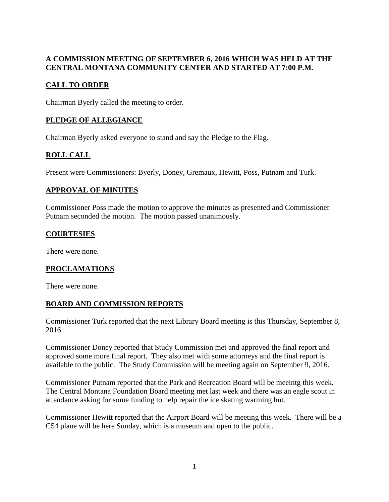# **A COMMISSION MEETING OF SEPTEMBER 6, 2016 WHICH WAS HELD AT THE CENTRAL MONTANA COMMUNITY CENTER AND STARTED AT 7:00 P.M.**

### **CALL TO ORDER**

Chairman Byerly called the meeting to order.

### **PLEDGE OF ALLEGIANCE**

Chairman Byerly asked everyone to stand and say the Pledge to the Flag.

# **ROLL CALL**

Present were Commissioners: Byerly, Doney, Gremaux, Hewitt, Poss, Putnam and Turk.

#### **APPROVAL OF MINUTES**

Commissioner Poss made the motion to approve the minutes as presented and Commissioner Putnam seconded the motion. The motion passed unanimously.

### **COURTESIES**

There were none.

# **PROCLAMATIONS**

There were none.

#### **BOARD AND COMMISSION REPORTS**

Commissioner Turk reported that the next Library Board meeting is this Thursday, September 8, 2016.

Commissioner Doney reported that Study Commission met and approved the final report and approved some more final report. They also met with some attorneys and the final report is available to the public. The Study Commission will be meeting again on September 9, 2016.

Commissioner Putnam reported that the Park and Recreation Board will be meeintg this week. The Central Montana Foundation Board meeting met last week and there was an eagle scout in attendance asking for some funding to help repair the ice skating warming hut.

Commissioner Hewitt reported that the Airport Board will be meeting this week. There will be a C54 plane will be here Sunday, which is a museum and open to the public.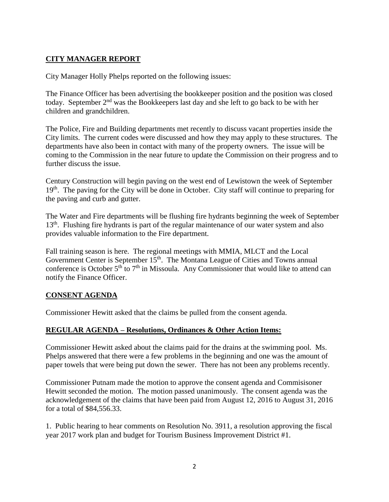### **CITY MANAGER REPORT**

City Manager Holly Phelps reported on the following issues:

The Finance Officer has been advertising the bookkeeper position and the position was closed today. September  $2<sup>nd</sup>$  was the Bookkeepers last day and she left to go back to be with her children and grandchildren.

The Police, Fire and Building departments met recently to discuss vacant properties inside the City limits. The current codes were discussed and how they may apply to these structures. The departments have also been in contact with many of the property owners. The issue will be coming to the Commission in the near future to update the Commission on their progress and to further discuss the issue.

Century Construction will begin paving on the west end of Lewistown the week of September 19<sup>th</sup>. The paving for the City will be done in October. City staff will continue to preparing for the paving and curb and gutter.

The Water and Fire departments will be flushing fire hydrants beginning the week of September 13<sup>th</sup>. Flushing fire hydrants is part of the regular maintenance of our water system and also provides valuable information to the Fire department.

Fall training season is here. The regional meetings with MMIA, MLCT and the Local Government Center is September 15<sup>th</sup>. The Montana League of Cities and Towns annual conference is October  $5<sup>th</sup>$  to  $7<sup>th</sup>$  in Missoula. Any Commissioner that would like to attend can notify the Finance Officer.

#### **CONSENT AGENDA**

Commissioner Hewitt asked that the claims be pulled from the consent agenda.

#### **REGULAR AGENDA – Resolutions, Ordinances & Other Action Items:**

Commissioner Hewitt asked about the claims paid for the drains at the swimming pool. Ms. Phelps answered that there were a few problems in the beginning and one was the amount of paper towels that were being put down the sewer. There has not been any problems recently.

Commissioner Putnam made the motion to approve the consent agenda and Commisisoner Hewitt seconded the motion. The motion passed unanimously. The consent agenda was the acknowledgement of the claims that have been paid from August 12, 2016 to August 31, 2016 for a total of \$84,556.33.

1. Public hearing to hear comments on Resolution No. 3911, a resolution approving the fiscal year 2017 work plan and budget for Tourism Business Improvement District #1.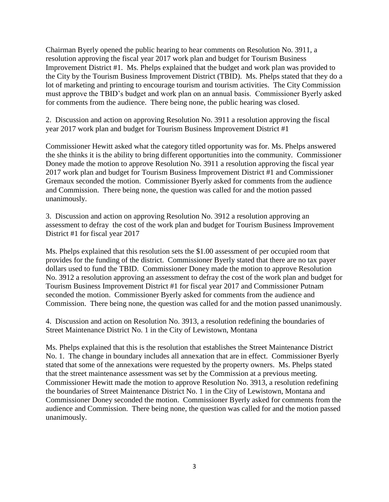Chairman Byerly opened the public hearing to hear comments on Resolution No. 3911, a resolution approving the fiscal year 2017 work plan and budget for Tourism Business Improvement District #1. Ms. Phelps explained that the budget and work plan was provided to the City by the Tourism Business Improvement District (TBID). Ms. Phelps stated that they do a lot of marketing and printing to encourage tourism and tourism activities. The City Commission must approve the TBID's budget and work plan on an annual basis. Commissioner Byerly asked for comments from the audience. There being none, the public hearing was closed.

2. Discussion and action on approving Resolution No. 3911 a resolution approving the fiscal year 2017 work plan and budget for Tourism Business Improvement District #1

Commissioner Hewitt asked what the category titled opportunity was for. Ms. Phelps answered the she thinks it is the ability to bring different opportunities into the community. Commissioner Doney made the motion to approve Resolution No. 3911 a resolution approving the fiscal year 2017 work plan and budget for Tourism Business Improvement District #1 and Commissioner Gremaux seconded the motion. Commissioner Byerly asked for comments from the audience and Commission. There being none, the question was called for and the motion passed unanimously.

3. Discussion and action on approving Resolution No. 3912 a resolution approving an assessment to defray the cost of the work plan and budget for Tourism Business Improvement District #1 for fiscal year 2017

Ms. Phelps explained that this resolution sets the \$1.00 assessment of per occupied room that provides for the funding of the district. Commissioner Byerly stated that there are no tax payer dollars used to fund the TBID. Commissioner Doney made the motion to approve Resolution No. 3912 a resolution approving an assessment to defray the cost of the work plan and budget for Tourism Business Improvement District #1 for fiscal year 2017 and Commissioner Putnam seconded the motion. Commissioner Byerly asked for comments from the audience and Commission. There being none, the question was called for and the motion passed unanimously.

4. Discussion and action on Resolution No. 3913, a resolution redefining the boundaries of Street Maintenance District No. 1 in the City of Lewistown, Montana

Ms. Phelps explained that this is the resolution that establishes the Street Maintenance District No. 1. The change in boundary includes all annexation that are in effect. Commissioner Byerly stated that some of the annexations were requested by the property owners. Ms. Phelps stated that the street maintenance assessment was set by the Commission at a previous meeting. Commissioner Hewitt made the motion to approve Resolution No. 3913, a resolution redefining the boundaries of Street Maintenance District No. 1 in the City of Lewistown, Montana and Commissioner Doney seconded the motion. Commissioner Byerly asked for comments from the audience and Commission. There being none, the question was called for and the motion passed unanimously.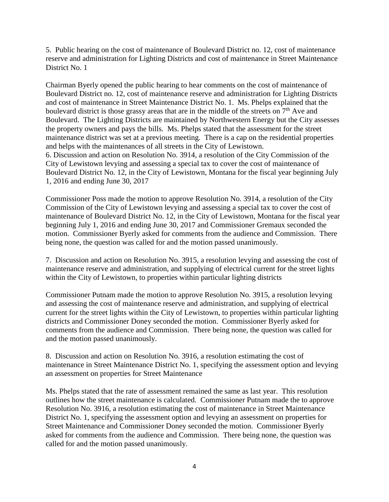5. Public hearing on the cost of maintenance of Boulevard District no. 12, cost of maintenance reserve and administration for Lighting Districts and cost of maintenance in Street Maintenance District No. 1

Chairman Byerly opened the public hearing to hear comments on the cost of maintenance of Boulevard District no. 12, cost of maintenance reserve and administration for Lighting Districts and cost of maintenance in Street Maintenance District No. 1. Ms. Phelps explained that the boulevard district is those grassy areas that are in the middle of the streets on 7<sup>th</sup> Ave and Boulevard. The Lighting Districts are maintained by Northwestern Energy but the City assesses the property owners and pays the bills. Ms. Phelps stated that the assessment for the street maintenance district was set at a previous meeting. There is a cap on the residential properties and helps with the maintenances of all streets in the City of Lewistown. 6. Discussion and action on Resolution No. 3914, a resolution of the City Commission of the City of Lewistown levying and assessing a special tax to cover the cost of maintenance of Boulevard District No. 12, in the City of Lewistown, Montana for the fiscal year beginning July 1, 2016 and ending June 30, 2017

Commissioner Poss made the motion to approve Resolution No. 3914, a resolution of the City Commission of the City of Lewistown levying and assessing a special tax to cover the cost of maintenance of Boulevard District No. 12, in the City of Lewistown, Montana for the fiscal year beginning July 1, 2016 and ending June 30, 2017 and Commissioner Gremaux seconded the motion. Commissioner Byerly asked for comments from the audience and Commission. There being none, the question was called for and the motion passed unanimously.

7. Discussion and action on Resolution No. 3915, a resolution levying and assessing the cost of maintenance reserve and administration, and supplying of electrical current for the street lights within the City of Lewistown, to properties within particular lighting districts

Commissioner Putnam made the motion to approve Resolution No. 3915, a resolution levying and assessing the cost of maintenance reserve and administration, and supplying of electrical current for the street lights within the City of Lewistown, to properties within particular lighting districts and Commissioner Doney seconded the motion. Commissioner Byerly asked for comments from the audience and Commission. There being none, the question was called for and the motion passed unanimously.

8. Discussion and action on Resolution No. 3916, a resolution estimating the cost of maintenance in Street Maintenance District No. 1, specifying the assessment option and levying an assessment on properties for Street Maintenance

Ms. Phelps stated that the rate of assessment remained the same as last year. This resolution outlines how the street maintenance is calculated. Commissioner Putnam made the to approve Resolution No. 3916, a resolution estimating the cost of maintenance in Street Maintenance District No. 1, specifying the assessment option and levying an assessment on properties for Street Maintenance and Commissioner Doney seconded the motion. Commissioner Byerly asked for comments from the audience and Commission. There being none, the question was called for and the motion passed unanimously.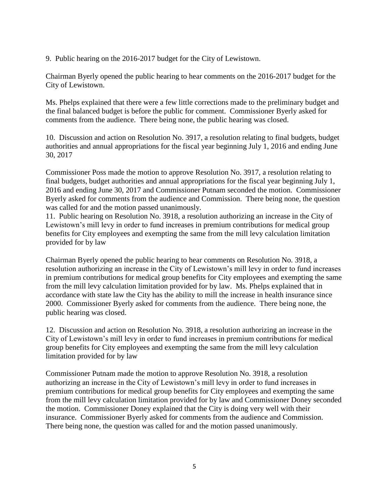9. Public hearing on the 2016-2017 budget for the City of Lewistown.

Chairman Byerly opened the public hearing to hear comments on the 2016-2017 budget for the City of Lewistown.

Ms. Phelps explained that there were a few little corrections made to the preliminary budget and the final balanced budget is before the public for comment. Commissioner Byerly asked for comments from the audience. There being none, the public hearing was closed.

10. Discussion and action on Resolution No. 3917, a resolution relating to final budgets, budget authorities and annual appropriations for the fiscal year beginning July 1, 2016 and ending June 30, 2017

Commissioner Poss made the motion to approve Resolution No. 3917, a resolution relating to final budgets, budget authorities and annual appropriations for the fiscal year beginning July 1, 2016 and ending June 30, 2017 and Commissioner Putnam seconded the motion. Commissioner Byerly asked for comments from the audience and Commission. There being none, the question was called for and the motion passed unanimously.

11. Public hearing on Resolution No. 3918, a resolution authorizing an increase in the City of Lewistown's mill levy in order to fund increases in premium contributions for medical group benefits for City employees and exempting the same from the mill levy calculation limitation provided for by law

Chairman Byerly opened the public hearing to hear comments on Resolution No. 3918, a resolution authorizing an increase in the City of Lewistown's mill levy in order to fund increases in premium contributions for medical group benefits for City employees and exempting the same from the mill levy calculation limitation provided for by law. Ms. Phelps explained that in accordance with state law the City has the ability to mill the increase in health insurance since 2000. Commissioner Byerly asked for comments from the audience. There being none, the public hearing was closed.

12. Discussion and action on Resolution No. 3918, a resolution authorizing an increase in the City of Lewistown's mill levy in order to fund increases in premium contributions for medical group benefits for City employees and exempting the same from the mill levy calculation limitation provided for by law

Commissioner Putnam made the motion to approve Resolution No. 3918, a resolution authorizing an increase in the City of Lewistown's mill levy in order to fund increases in premium contributions for medical group benefits for City employees and exempting the same from the mill levy calculation limitation provided for by law and Commissioner Doney seconded the motion. Commissioner Doney explained that the City is doing very well with their insurance. Commissioner Byerly asked for comments from the audience and Commission. There being none, the question was called for and the motion passed unanimously.